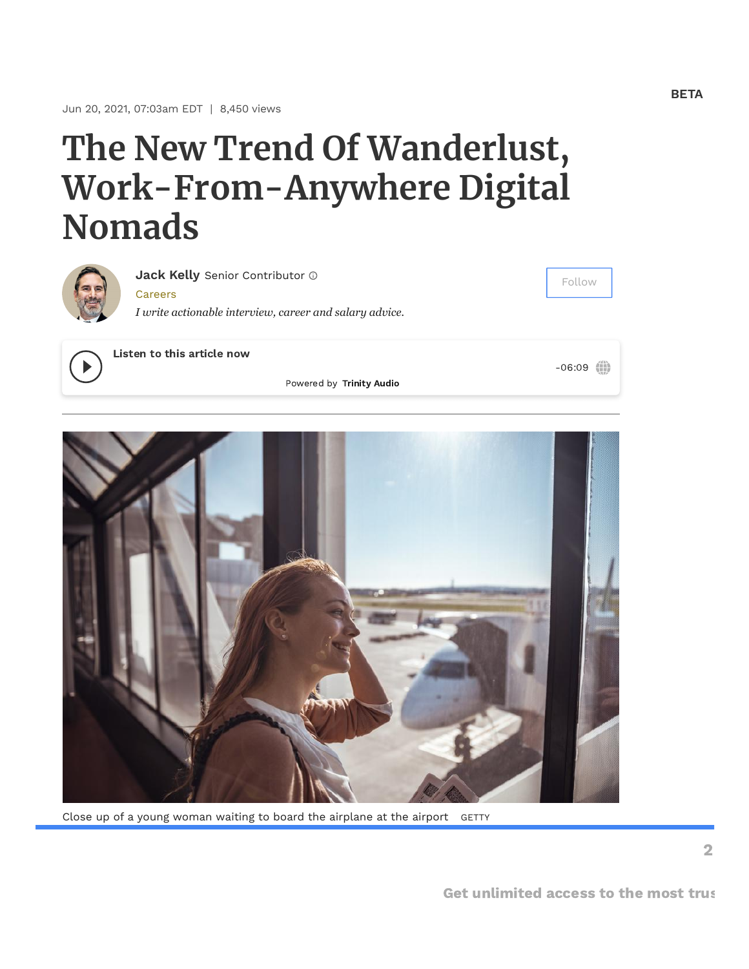# **The New Trend Of Wanderlust, Work-From-Anywhere Digital Nomads**



[Careers](https://www.forbes.com/careers) *I write actionable interview, career and salary advice.* **Jack [Kelly](https://www.forbes.com/sites/jackkelly/)** Senior Contributor



Listen to this article now

Powered by [Trinity](https://trinityaudio.ai/?utm_source=https%3A%2F%2Fwww.forbes.com&utm_medium=player%2520lin) Audio



Close up of a young woman waiting to board the airplane at the airport GETTY

2

Follow

 $-06:09$   $(1)$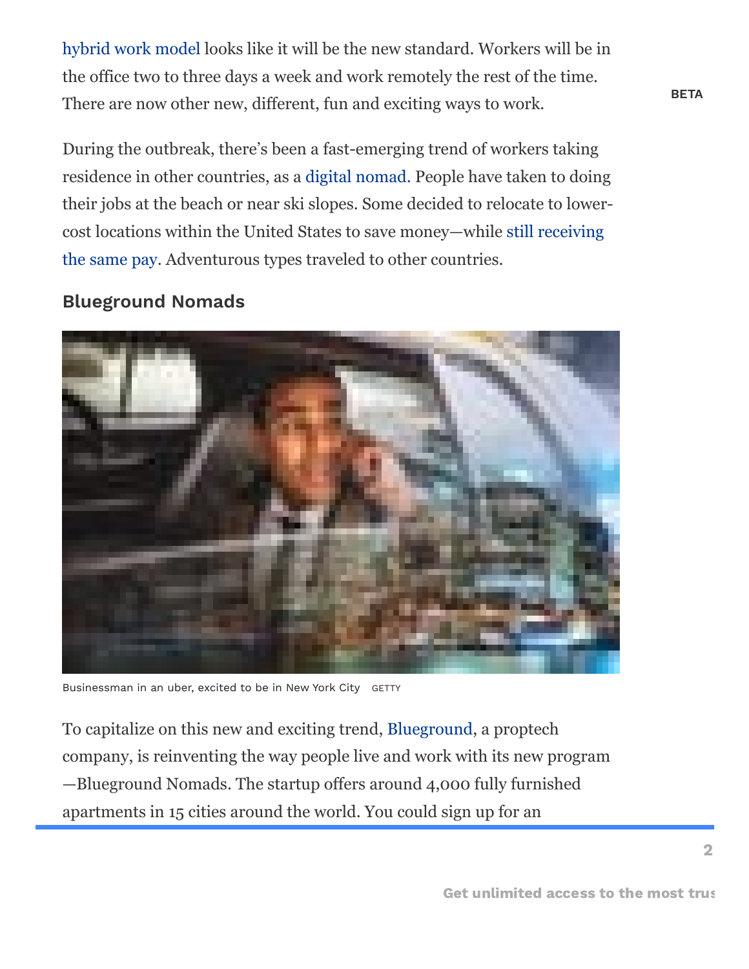[hybrid work model](https://www.forbes.com/sites/jackkelly/2021/05/06/google-announces-a-hybrid----return-to-work-plan-including-both-remote-and-in-office-options/) looks like it will be the new standard. Workers will be in the office two to three days a week and work remotely the rest of the time. There are now other new, different, fun and exciting ways to work.

During the outbreak, there's been a fast-emerging trend of workers taking residence in other countries, as a [digital nomad.](https://www.forbes.com/sites/jackkelly/2020/09/08/digital-nomad-the-new-and-cool-trend-of-working-from-paradise-or-anywhere-in-the-world/) People have taken to doing their jobs at the beach or near ski slopes. Some decided to relocate to lower[cost locations within the United States to save money—while still receiving](https://www.forbes.com/sites/jackkelly/2021/12/29/companies-are-starting-to-pay-people-the-same-if-they-live-in-new-york-city-san-francisco-or-buford-wyoming/) the same pay. Adventurous types traveled to other countries.

### **Blueground Nomads**



Businessman in an uber, excited to be in New York City GETTY

To capitalize on this new and exciting trend, [Blueground,](https://www.theblueground.com/) a proptech company, is reinventing the way people live and work with its new program —Blueground Nomads. The startup offers around 4,000 fully furnished apartments in 15 cities around the world. You could sign up for an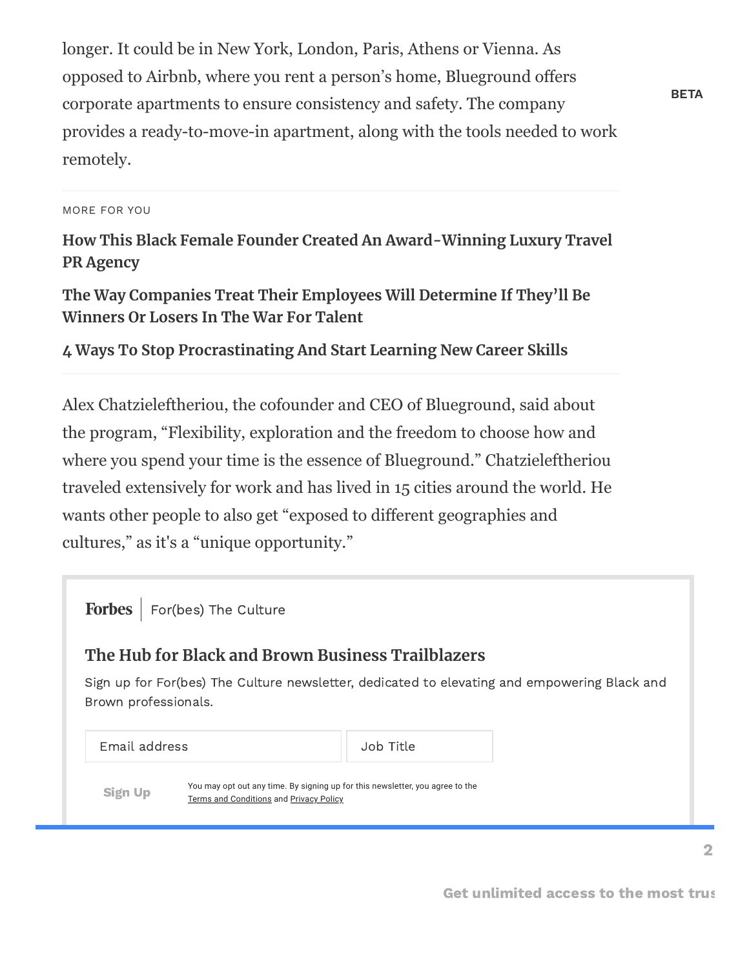longer. It could be in New York, London, Paris, Athens or Vienna. As opposed to Airbnb, where you rent a person's home, Blueground offers corporate apartments to ensure consistency and safety. The company provides a ready-to-move-in apartment, along with the tools needed to work remotely.

#### MORE FOR YOU

**[How This Black Female Founder Created An Award-Winning Luxury Travel](https://www.forbes.com/sites/katherineparkermagyar/2020/07/29/how-this-black-female-founder-created-an-award-winning-luxury-travel-agency/) PR Agency**

**[The Way Companies Treat Their Employees Will Determine If They'll Be](https://www.forbes.com/sites/jackkelly/2021/06/20/the-way-companies-treat-their-employees-will-determine-if-theyll-be-winners-or-losers-in-the-war-for-talent/) Winners Or Losers In The War For Talent**

**[4 Ways To Stop Procrastinating And Start Learning New Career Skills](https://www.forbes.com/sites/williamarruda/2021/06/20/4-ways-to-stop-procrastinating-and-start-learning-new-career-skills/)**

Alex Chatzieleftheriou, the cofounder and CEO of Blueground, said about the program, "Flexibility, exploration and the freedom to choose how and where you spend your time is the essence of Blueground." Chatzieleftheriou traveled extensively for work and has lived in 15 cities around the world. He wants other people to also get "exposed to different geographies and cultures," as it's a "unique opportunity."

## Forbes | For(bes) The Culture

### **The Hub for Black and Brown Business Trailblazers**

Sign up for For(bes) The Culture newsletter, dedicated to elevating and empowering Black and Brown professionals.

| Email address  |                                                                                                                          | Job Title |
|----------------|--------------------------------------------------------------------------------------------------------------------------|-----------|
| <b>Sign Up</b> | You may opt out any time. By signing up for this newsletter, you agree to the<br>Terms and Conditions and Privacy Policy |           |

**BETA**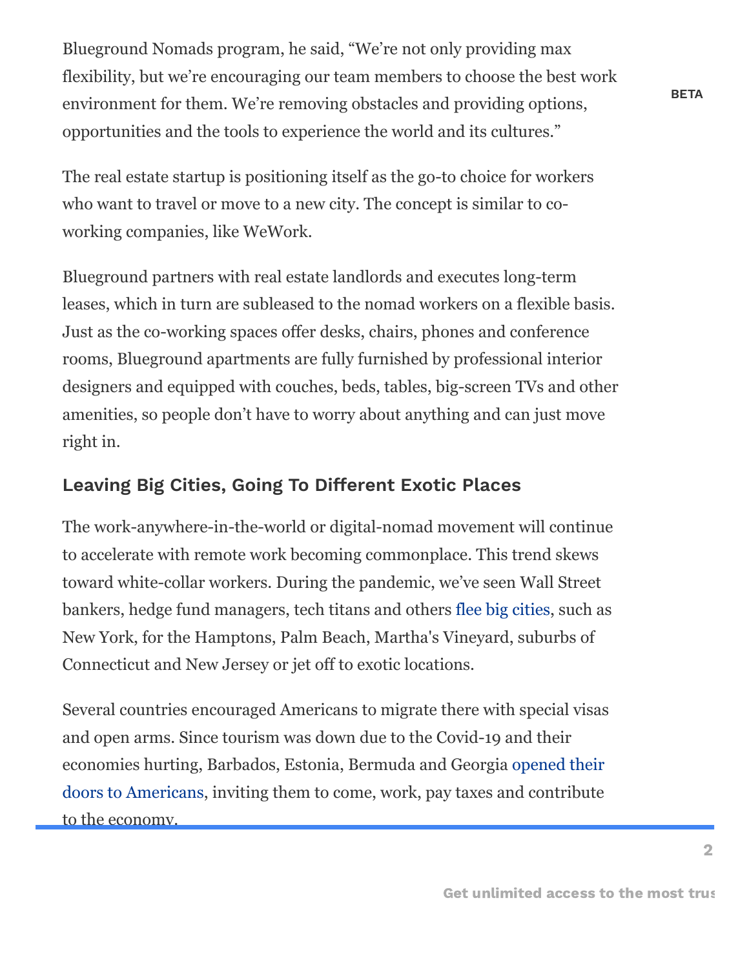Blueground Nomads program, he said, "We're not only providing max flexibility, but we're encouraging our team members to choose the best work environment for them. We're removing obstacles and providing options, opportunities and the tools to experience the world and its cultures."

The real estate startup is positioning itself as the go-to choice for workers who want to travel or move to a new city. The concept is similar to coworking companies, like WeWork.

Blueground partners with real estate landlords and executes long-term leases, which in turn are subleased to the nomad workers on a flexible basis. Just as the co-working spaces offer desks, chairs, phones and conference rooms, Blueground apartments are fully furnished by professional interior designers and equipped with couches, beds, tables, big-screen TVs and other amenities, so people don't have to worry about anything and can just move right in.

# **Leaving Big Cities, Going To Different Exotic Places**

The work-anywhere-in-the-world or digital-nomad movement will continue to accelerate with remote work becoming commonplace. This trend skews toward white-collar workers. During the pandemic, we've seen Wall Street bankers, hedge fund managers, tech titans and others [flee big cities,](https://www.forbes.com/sites/jackkelly/2020/12/14/wall-street-banks-and-tech-companies-are-fleeing-new-york-and-california/) such as New York, for the Hamptons, Palm Beach, Martha's Vineyard, suburbs of Connecticut and New Jersey or jet off to exotic locations.

Several countries encouraged Americans to migrate there with special visas and open arms. Since tourism was down due to the Covid-19 and their [economies hurting, Barbados, Estonia, Bermuda and Georgia opened their](https://www.forbes.com/sites/jackkelly/2020/09/08/digital-nomad-the-new-and-cool-trend-of-working-from-paradise-or-anywhere-in-the-world/) doors to Americans, inviting them to come, work, pay taxes and contribute to the economy.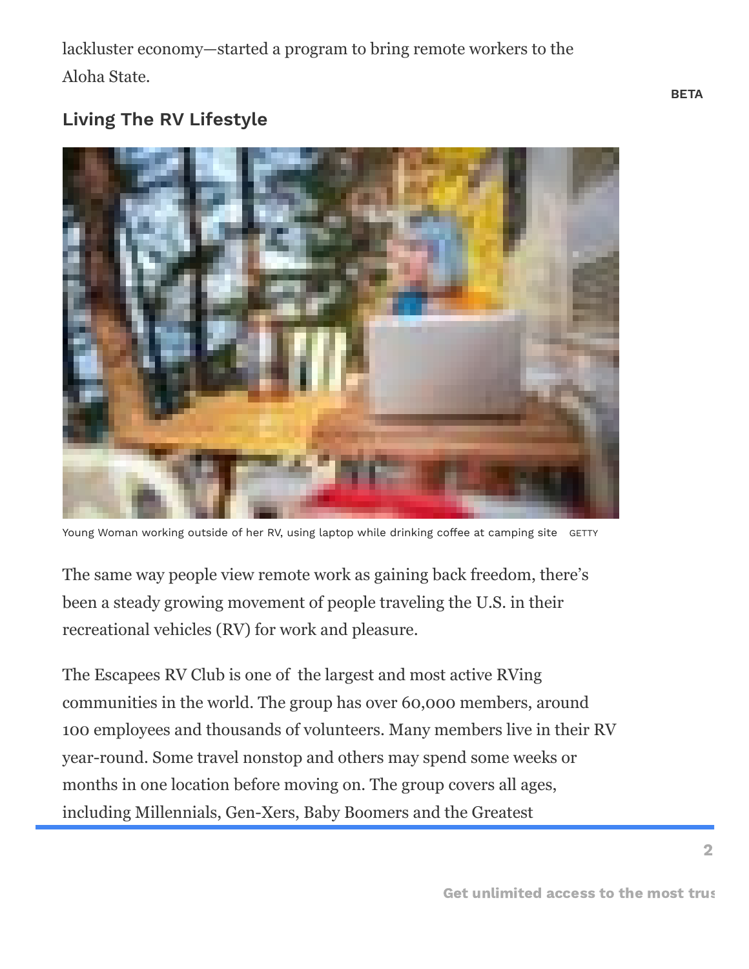lackluster economy—started a program to bring remote workers to the Aloha State.



## **Living The RV Lifestyle**

Young Woman working outside of her RV, using laptop while drinking coffee at camping site GETTY

The same way people view remote work as gaining back freedom, there's been a steady growing movement of people traveling the U.S. in their recreational vehicles (RV) for work and pleasure.

The Escapees RV Club is one of the largest and most active RVing communities in the world. The group has over 60,000 members, around 100 employees and thousands of volunteers. Many members live in their RV year-round. Some travel nonstop and others may spend some weeks or months in one location before moving on. The group covers all ages, including Millennials, Gen-Xers, Baby Boomers and the Greatest

2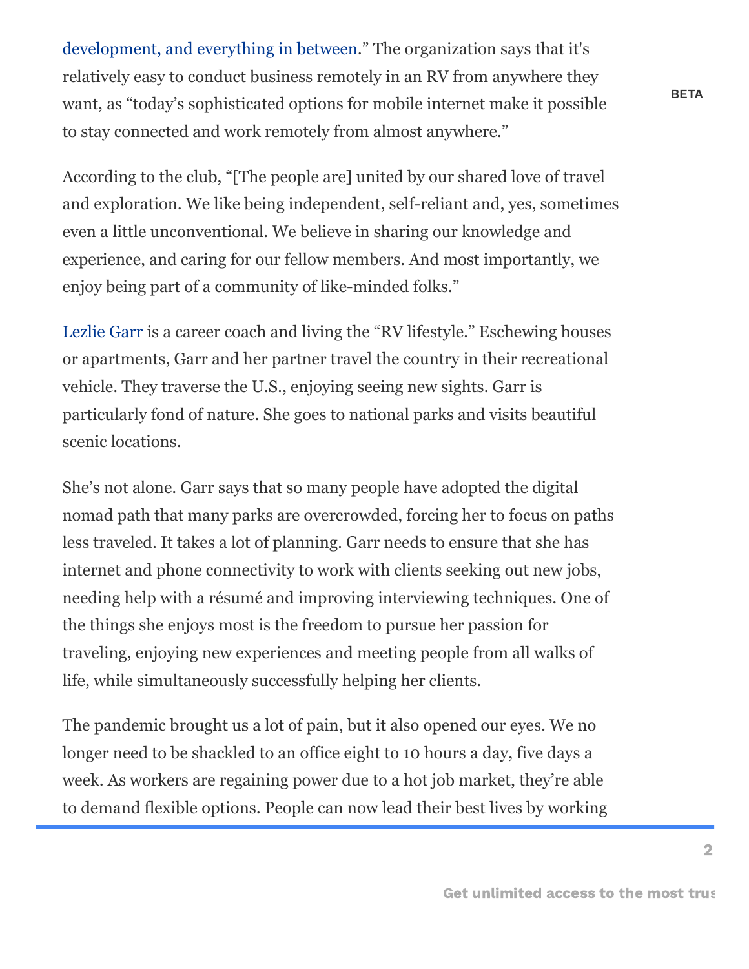[development, and everything in between." The organization says that it's](https://www.escapees.com/about-escapees/who-we-are/) relatively easy to conduct business remotely in an RV from anywhere they want, as "today's sophisticated options for mobile internet make it possible to stay connected and work remotely from almost anywhere."

According to the club, "[The people are] united by our shared love of travel and exploration. We like being independent, self-reliant and, yes, sometimes even a little unconventional. We believe in sharing our knowledge and experience, and caring for our fellow members. And most importantly, we enjoy being part of a community of like-minded folks."

[Lezlie Garr](https://www.linkedin.com/in/resumelezlie/) is a career coach and living the "RV lifestyle." Eschewing houses or apartments, Garr and her partner travel the country in their recreational vehicle. They traverse the U.S., enjoying seeing new sights. Garr is particularly fond of nature. She goes to national parks and visits beautiful scenic locations.

She's not alone. Garr says that so many people have adopted the digital nomad path that many parks are overcrowded, forcing her to focus on paths less traveled. It takes a lot of planning. Garr needs to ensure that she has internet and phone connectivity to work with clients seeking out new jobs, needing help with a résumé and improving interviewing techniques. One of the things she enjoys most is the freedom to pursue her passion for traveling, enjoying new experiences and meeting people from all walks of life, while simultaneously successfully helping her clients.

The pandemic brought us a lot of pain, but it also opened our eyes. We no longer need to be shackled to an office eight to 10 hours a day, five days a week. As workers are regaining power due to a hot job market, they're able to demand flexible options. People can now lead their best lives by working

the way they want from wherever they desire.

2